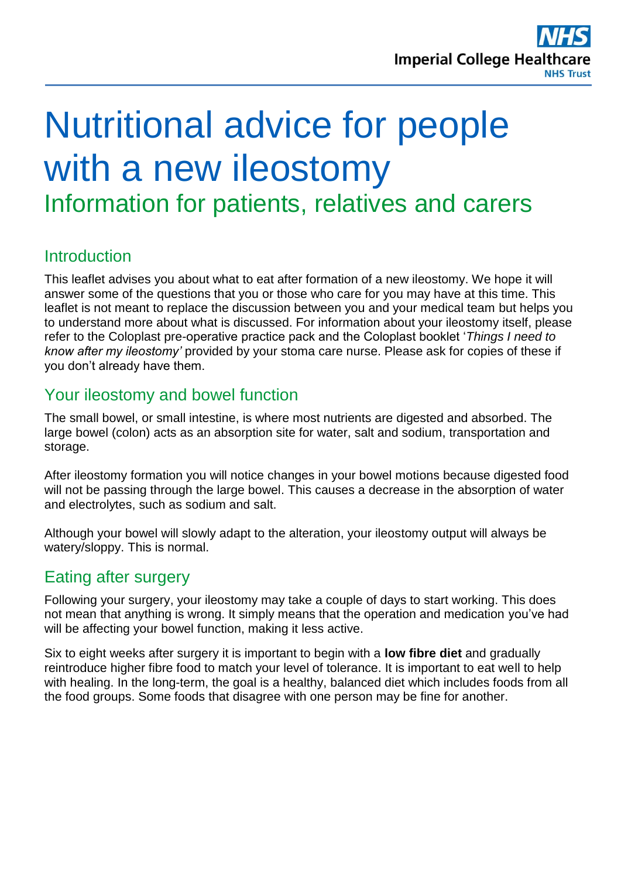

# Nutritional advice for people with a new ileostomy Information for patients, relatives and carers

# **Introduction**

This leaflet advises you about what to eat after formation of a new ileostomy. We hope it will answer some of the questions that you or those who care for you may have at this time. This leaflet is not meant to replace the discussion between you and your medical team but helps you to understand more about what is discussed. For information about your ileostomy itself, please refer to the Coloplast pre-operative practice pack and the Coloplast booklet '*Things I need to know after my ileostomy'* provided by your stoma care nurse. Please ask for copies of these if you don't already have them.

## Your ileostomy and bowel function

The small bowel, or small intestine, is where most nutrients are digested and absorbed. The large bowel (colon) acts as an absorption site for water, salt and sodium, transportation and storage.

After ileostomy formation you will notice changes in your bowel motions because digested food will not be passing through the large bowel. This causes a decrease in the absorption of water and electrolytes, such as sodium and salt.

Although your bowel will slowly adapt to the alteration, your ileostomy output will always be watery/sloppy. This is normal.

## Eating after surgery

Following your surgery, your ileostomy may take a couple of days to start working. This does not mean that anything is wrong. It simply means that the operation and medication you've had will be affecting your bowel function, making it less active.

Six to eight weeks after surgery it is important to begin with a **low fibre diet** and gradually reintroduce higher fibre food to match your level of tolerance. It is important to eat well to help with healing. In the long-term, the goal is a healthy, balanced diet which includes foods from all the food groups. Some foods that disagree with one person may be fine for another.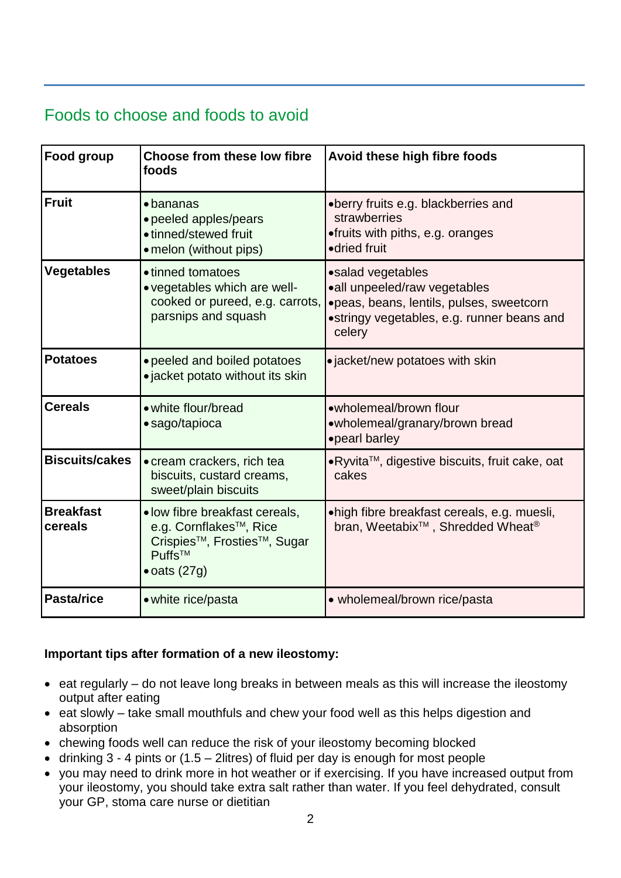# Foods to choose and foods to avoid

| Food group                  | Choose from these low fibre<br>foods                                                                                                                             | Avoid these high fibre foods                                                                                                                          |
|-----------------------------|------------------------------------------------------------------------------------------------------------------------------------------------------------------|-------------------------------------------------------------------------------------------------------------------------------------------------------|
| <b>Fruit</b>                | $\bullet$ bananas<br>• peeled apples/pears<br>• tinned/stewed fruit<br>• melon (without pips)                                                                    | •berry fruits e.g. blackberries and<br>strawberries<br>•fruits with piths, e.g. oranges<br>•dried fruit                                               |
| <b>Vegetables</b>           | • tinned tomatoes<br>• vegetables which are well-<br>cooked or pureed, e.g. carrots,<br>parsnips and squash                                                      | •salad vegetables<br>•all unpeeled/raw vegetables<br>·peas, beans, lentils, pulses, sweetcorn<br>•stringy vegetables, e.g. runner beans and<br>celery |
| <b>Potatoes</b>             | • peeled and boiled potatoes<br>· jacket potato without its skin                                                                                                 | • jacket/new potatoes with skin                                                                                                                       |
| <b>Cereals</b>              | • white flour/bread<br>• sago/tapioca                                                                                                                            | •wholemeal/brown flour<br>•wholemeal/granary/brown bread<br>•pearl barley                                                                             |
| <b>Biscuits/cakes</b>       | • cream crackers, rich tea<br>biscuits, custard creams,<br>sweet/plain biscuits                                                                                  | •Ryvita™, digestive biscuits, fruit cake, oat<br>cakes                                                                                                |
| <b>Breakfast</b><br>cereals | · low fibre breakfast cereals,<br>e.g. Cornflakes <sup>™</sup> , Rice<br>Crispies <sup>™</sup> , Frosties <sup>™</sup> , Sugar<br>Puffs™<br>$\bullet$ oats (27g) | •high fibre breakfast cereals, e.g. muesli,<br>bran, Weetabix <sup>™</sup> , Shredded Wheat <sup>®</sup>                                              |
| Pasta/rice                  | • white rice/pasta                                                                                                                                               | • wholemeal/brown rice/pasta                                                                                                                          |

### **Important tips after formation of a new ileostomy:**

- $\bullet$  eat regularly do not leave long breaks in between meals as this will increase the ileostomy output after eating
- eat slowly take small mouthfuls and chew your food well as this helps digestion and absorption
- chewing foods well can reduce the risk of your ileostomy becoming blocked
- drinking  $3 4$  pints or (1.5 2litres) of fluid per day is enough for most people
- you may need to drink more in hot weather or if exercising. If you have increased output from your ileostomy, you should take extra salt rather than water. If you feel dehydrated, consult your GP, stoma care nurse or dietitian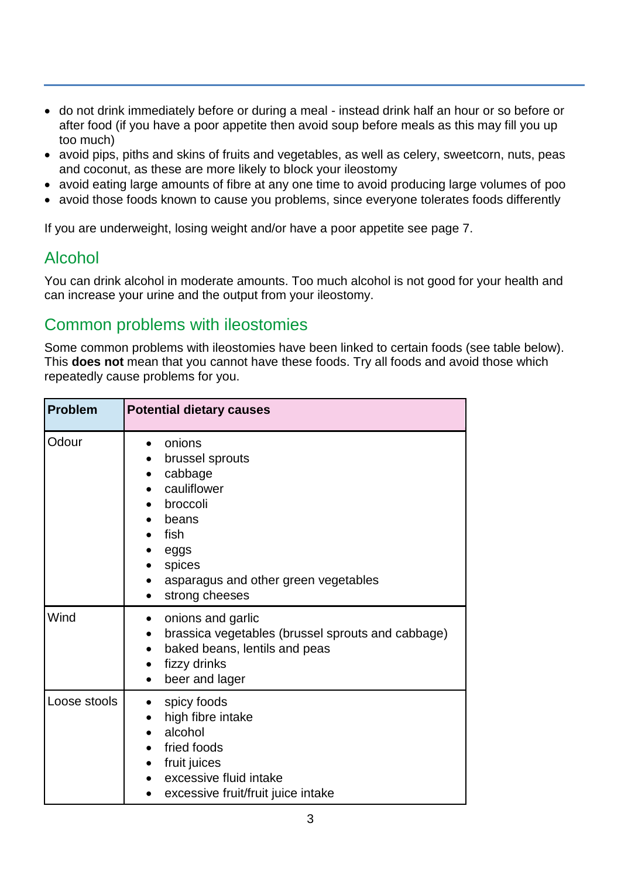- do not drink immediately before or during a meal instead drink half an hour or so before or after food (if you have a poor appetite then avoid soup before meals as this may fill you up too much)
- avoid pips, piths and skins of fruits and vegetables, as well as celery, sweetcorn, nuts, peas and coconut, as these are more likely to block your ileostomy
- avoid eating large amounts of fibre at any one time to avoid producing large volumes of poo
- avoid those foods known to cause you problems, since everyone tolerates foods differently

If you are underweight, losing weight and/or have a poor appetite see page 7.

## Alcohol

You can drink alcohol in moderate amounts. Too much alcohol is not good for your health and can increase your urine and the output from your ileostomy.

## Common problems with ileostomies

Some common problems with ileostomies have been linked to certain foods (see table below). This **does not** mean that you cannot have these foods. Try all foods and avoid those which repeatedly cause problems for you.

| <b>Problem</b> | <b>Potential dietary causes</b>                                                                                                                                                               |  |
|----------------|-----------------------------------------------------------------------------------------------------------------------------------------------------------------------------------------------|--|
| Odour          | onions<br>brussel sprouts<br>cabbage<br>cauliflower<br>broccoli<br>beans<br>fish<br>eggs<br>spices<br>asparagus and other green vegetables<br>strong cheeses                                  |  |
| Wind           | onions and garlic<br>$\bullet$<br>brassica vegetables (brussel sprouts and cabbage)<br>$\bullet$<br>baked beans, lentils and peas<br>$\bullet$<br>fizzy drinks<br>beer and lager<br>$\bullet$ |  |
| Loose stools   | spicy foods<br>high fibre intake<br>alcohol<br>fried foods<br>fruit juices<br>excessive fluid intake<br>excessive fruit/fruit juice intake                                                    |  |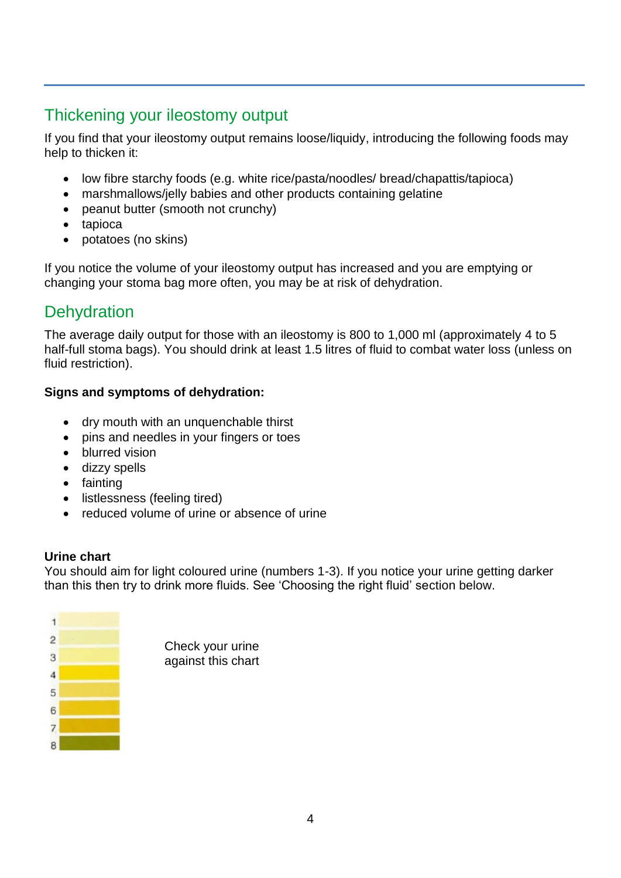# Thickening your ileostomy output

If you find that your ileostomy output remains loose/liquidy, introducing the following foods may help to thicken it:

- low fibre starchy foods (e.g. white rice/pasta/noodles/ bread/chapattis/tapioca)
- marshmallows/jelly babies and other products containing gelatine
- peanut butter (smooth not crunchy)
- tapioca
- potatoes (no skins)

If you notice the volume of your ileostomy output has increased and you are emptying or changing your stoma bag more often, you may be at risk of dehydration.

# **Dehydration**

The average daily output for those with an ileostomy is 800 to 1,000 ml (approximately 4 to 5 half-full stoma bags). You should drink at least 1.5 litres of fluid to combat water loss (unless on fluid restriction).

#### **Signs and symptoms of dehydration:**

- dry mouth with an unquenchable thirst
- pins and needles in your fingers or toes
- blurred vision
- dizzy spells
- fainting
- listlessness (feeling tired)
- reduced volume of urine or absence of urine

#### **Urine chart**

You should aim for light coloured urine (numbers 1-3). If you notice your urine getting darker than this then try to drink more fluids. See 'Choosing the right fluid' section below.

> urine chart

|   | Check your<br>against this |
|---|----------------------------|
| 3 |                            |
|   |                            |
|   |                            |
|   |                            |
|   |                            |
|   |                            |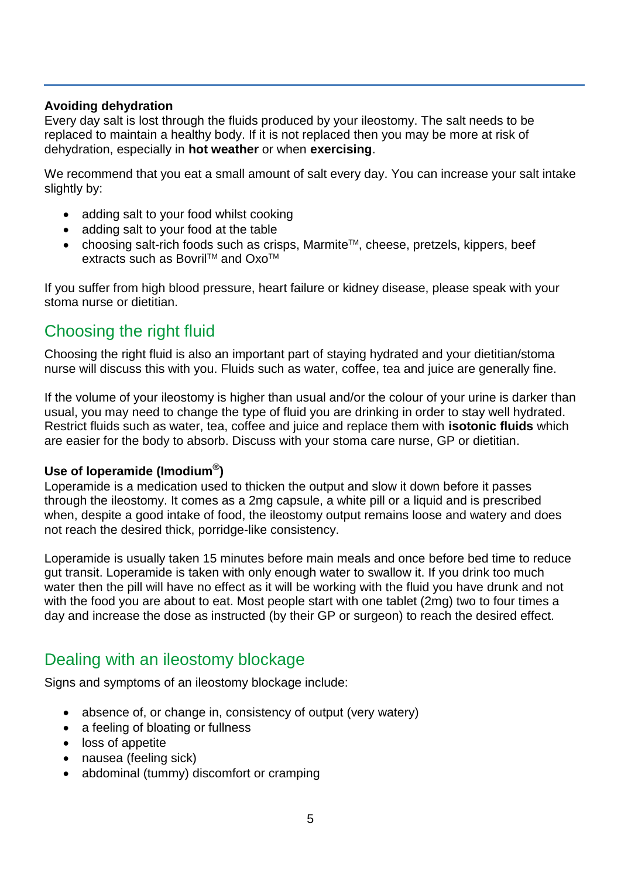#### **Avoiding dehydration**

Every day salt is lost through the fluids produced by your ileostomy. The salt needs to be replaced to maintain a healthy body. If it is not replaced then you may be more at risk of dehydration, especially in **hot weather** or when **exercising**.

We recommend that you eat a small amount of salt every day. You can increase your salt intake slightly by:

- adding salt to your food whilst cooking
- adding salt to your food at the table
- choosing salt-rich foods such as crisps, Marmite<sup>™</sup>, cheese, pretzels, kippers, beef extracts such as Bovril™ and Oxo<sup>™</sup>

If you suffer from high blood pressure, heart failure or kidney disease, please speak with your stoma nurse or dietitian.

## Choosing the right fluid

Choosing the right fluid is also an important part of staying hydrated and your dietitian/stoma nurse will discuss this with you. Fluids such as water, coffee, tea and juice are generally fine.

If the volume of your ileostomy is higher than usual and/or the colour of your urine is darker than usual, you may need to change the type of fluid you are drinking in order to stay well hydrated. Restrict fluids such as water, tea, coffee and juice and replace them with **isotonic fluids** which are easier for the body to absorb. Discuss with your stoma care nurse, GP or dietitian.

#### **Use of loperamide (Imodium® )**

Loperamide is a medication used to thicken the output and slow it down before it passes through the ileostomy. It comes as a 2mg capsule, a white pill or a liquid and is prescribed when, despite a good intake of food, the ileostomy output remains loose and watery and does not reach the desired thick, porridge-like consistency.

Loperamide is usually taken 15 minutes before main meals and once before bed time to reduce gut transit. Loperamide is taken with only enough water to swallow it. If you drink too much water then the pill will have no effect as it will be working with the fluid you have drunk and not with the food you are about to eat. Most people start with one tablet (2mg) two to four times a day and increase the dose as instructed (by their GP or surgeon) to reach the desired effect.

## Dealing with an ileostomy blockage

Signs and symptoms of an ileostomy blockage include:

- absence of, or change in, consistency of output (very watery)
- a feeling of bloating or fullness
- loss of appetite
- nausea (feeling sick)
- abdominal (tummy) discomfort or cramping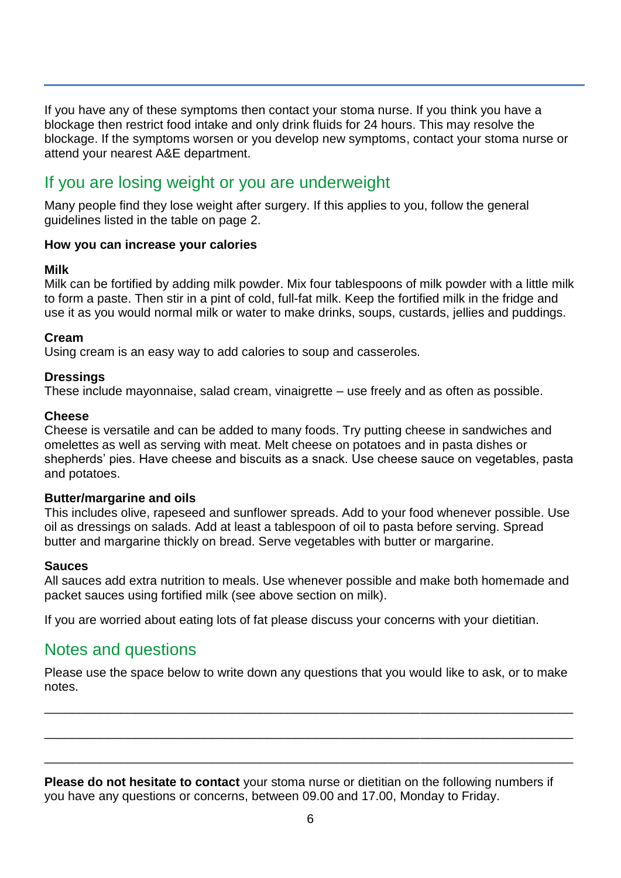If you have any of these symptoms then contact your stoma nurse. If you think you have a blockage then restrict food intake and only drink fluids for 24 hours. This may resolve the blockage. If the symptoms worsen or you develop new symptoms, contact your stoma nurse or attend your nearest A&E department.

## If you are losing weight or you are underweight

Many people find they lose weight after surgery. If this applies to you, follow the general guidelines listed in the table on page 2.

#### **How you can increase your calories**

#### **Milk**

Milk can be fortified by adding milk powder. Mix four tablespoons of milk powder with a little milk to form a paste. Then stir in a pint of cold, full-fat milk. Keep the fortified milk in the fridge and use it as you would normal milk or water to make drinks, soups, custards, jellies and puddings.

#### **Cream**

Using cream is an easy way to add calories to soup and casseroles.

#### **Dressings**

These include mayonnaise, salad cream, vinaigrette – use freely and as often as possible.

#### **Cheese**

Cheese is versatile and can be added to many foods. Try putting cheese in sandwiches and omelettes as well as serving with meat. Melt cheese on potatoes and in pasta dishes or shepherds' pies. Have cheese and biscuits as a snack. Use cheese sauce on vegetables, pasta and potatoes.

#### **Butter/margarine and oils**

This includes olive, rapeseed and sunflower spreads. Add to your food whenever possible. Use oil as dressings on salads. Add at least a tablespoon of oil to pasta before serving. Spread butter and margarine thickly on bread. Serve vegetables with butter or margarine.

#### **Sauces**

All sauces add extra nutrition to meals. Use whenever possible and make both homemade and packet sauces using fortified milk (see above section on milk).

If you are worried about eating lots of fat please discuss your concerns with your dietitian.

## Notes and questions

Please use the space below to write down any questions that you would like to ask, or to make notes.

\_\_\_\_\_\_\_\_\_\_\_\_\_\_\_\_\_\_\_\_\_\_\_\_\_\_\_\_\_\_\_\_\_\_\_\_\_\_\_\_\_\_\_\_\_\_\_\_\_\_\_\_\_\_\_\_\_\_\_\_\_\_\_\_\_\_\_\_\_\_\_\_\_\_\_\_

\_\_\_\_\_\_\_\_\_\_\_\_\_\_\_\_\_\_\_\_\_\_\_\_\_\_\_\_\_\_\_\_\_\_\_\_\_\_\_\_\_\_\_\_\_\_\_\_\_\_\_\_\_\_\_\_\_\_\_\_\_\_\_\_\_\_\_\_\_\_\_\_\_\_\_\_

\_\_\_\_\_\_\_\_\_\_\_\_\_\_\_\_\_\_\_\_\_\_\_\_\_\_\_\_\_\_\_\_\_\_\_\_\_\_\_\_\_\_\_\_\_\_\_\_\_\_\_\_\_\_\_\_\_\_\_\_\_\_\_\_\_\_\_\_\_\_\_\_\_\_\_\_

**Please do not hesitate to contact** your stoma nurse or dietitian on the following numbers if you have any questions or concerns, between 09.00 and 17.00, Monday to Friday.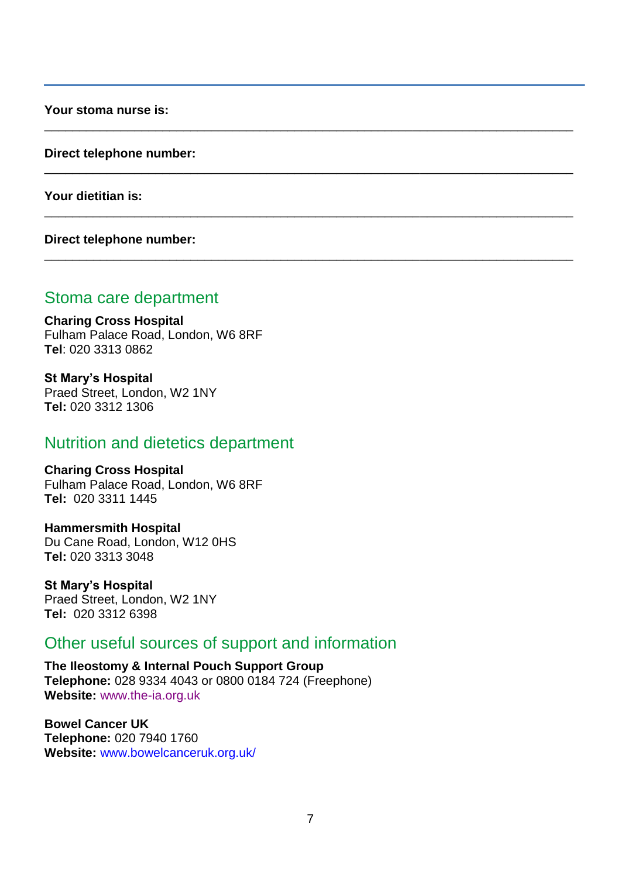**Your stoma nurse is:** 

**Direct telephone number:**

**Your dietitian is:**

**Direct telephone number:**

## Stoma care department

**Charing Cross Hospital** Fulham Palace Road, London, W6 8RF **Tel**: 020 3313 0862

**St Mary's Hospital** Praed Street, London, W2 1NY **Tel:** 020 3312 1306

## Nutrition and dietetics department

**Charing Cross Hospital** Fulham Palace Road, London, W6 8RF **Tel:** 020 3311 1445

**Hammersmith Hospital** Du Cane Road, London, W12 0HS **Tel:** 020 3313 3048

**St Mary's Hospital** Praed Street, London, W2 1NY **Tel:** 020 3312 6398

## Other useful sources of support and information

**The Ileostomy & Internal Pouch Support Group Telephone:** 028 9334 4043 or 0800 0184 724 (Freephone) **Website:** [www.the-ia.org.uk](http://www.the-ia.org.uk/)

**Bowel Cancer UK Telephone:** 020 7940 1760 **Website:** [www.bowelcanceruk.org.uk/](http://www.bowelcanceruk.org.uk/)

\_\_\_\_\_\_\_\_\_\_\_\_\_\_\_\_\_\_\_\_\_\_\_\_\_\_\_\_\_\_\_\_\_\_\_\_\_\_\_\_\_\_\_\_\_\_\_\_\_\_\_\_\_\_\_\_\_\_\_\_\_\_\_\_\_\_\_\_\_\_\_\_\_\_\_\_

\_\_\_\_\_\_\_\_\_\_\_\_\_\_\_\_\_\_\_\_\_\_\_\_\_\_\_\_\_\_\_\_\_\_\_\_\_\_\_\_\_\_\_\_\_\_\_\_\_\_\_\_\_\_\_\_\_\_\_\_\_\_\_\_\_\_\_\_\_\_\_\_\_\_\_\_

\_\_\_\_\_\_\_\_\_\_\_\_\_\_\_\_\_\_\_\_\_\_\_\_\_\_\_\_\_\_\_\_\_\_\_\_\_\_\_\_\_\_\_\_\_\_\_\_\_\_\_\_\_\_\_\_\_\_\_\_\_\_\_\_\_\_\_\_\_\_\_\_\_\_\_\_

\_\_\_\_\_\_\_\_\_\_\_\_\_\_\_\_\_\_\_\_\_\_\_\_\_\_\_\_\_\_\_\_\_\_\_\_\_\_\_\_\_\_\_\_\_\_\_\_\_\_\_\_\_\_\_\_\_\_\_\_\_\_\_\_\_\_\_\_\_\_\_\_\_\_\_\_